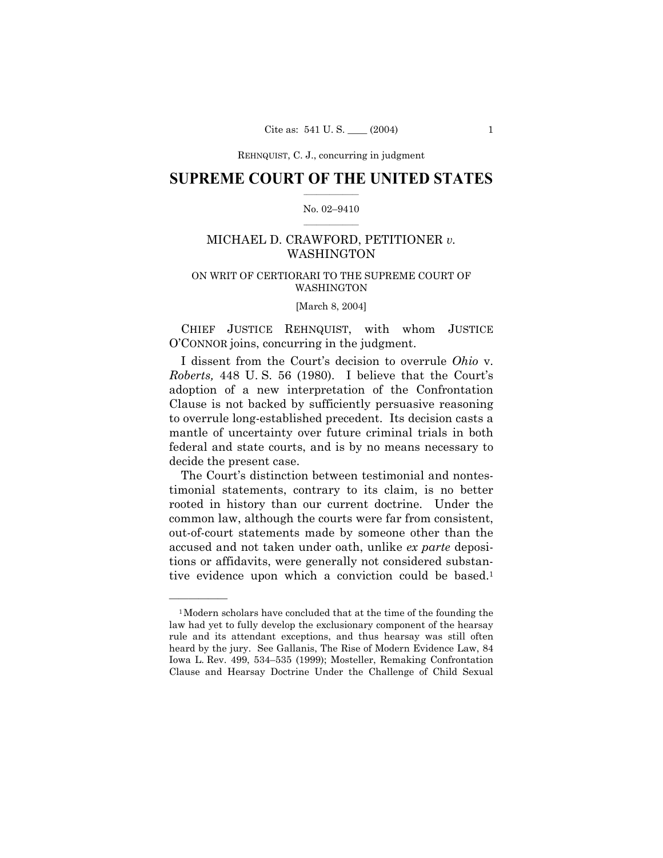## **SUPREME COURT OF THE UNITED STATES**  $\mathcal{L}=\mathcal{L}^{\mathcal{L}}$

## No. 02-9410  $\frac{1}{2}$  ,  $\frac{1}{2}$  ,  $\frac{1}{2}$  ,  $\frac{1}{2}$  ,  $\frac{1}{2}$  ,  $\frac{1}{2}$

# MICHAEL D. CRAWFORD, PETITIONER *v.* WASHINGTON

# ON WRIT OF CERTIORARI TO THE SUPREME COURT OF WASHINGTON

[March 8, 2004]

CHIEF JUSTICE REHNQUIST, with whom JUSTICE OíCONNOR joins, concurring in the judgment.

I dissent from the Court's decision to overrule *Ohio* v. *Roberts,* 448 U.S. 56 (1980). I believe that the Court's adoption of a new interpretation of the Confrontation Clause is not backed by sufficiently persuasive reasoning to overrule long-established precedent. Its decision casts a mantle of uncertainty over future criminal trials in both federal and state courts, and is by no means necessary to decide the present case.

The Court's distinction between testimonial and nontestimonial statements, contrary to its claim, is no better rooted in history than our current doctrine. Under the common law, although the courts were far from consistent, out-of-court statements made by someone other than the accused and not taken under oath, unlike *ex parte* depositions or affidavits, were generally not considered substantive evidence upon which a conviction could be based.<sup>1</sup>

<u>óóóóóóóóóóóóóó</u>

<sup>1</sup>Modern scholars have concluded that at the time of the founding the law had yet to fully develop the exclusionary component of the hearsay rule and its attendant exceptions, and thus hearsay was still often heard by the jury. See Gallanis, The Rise of Modern Evidence Law, 84 Iowa L. Rev. 499, 534–535 (1999); Mosteller, Remaking Confrontation Clause and Hearsay Doctrine Under the Challenge of Child Sexual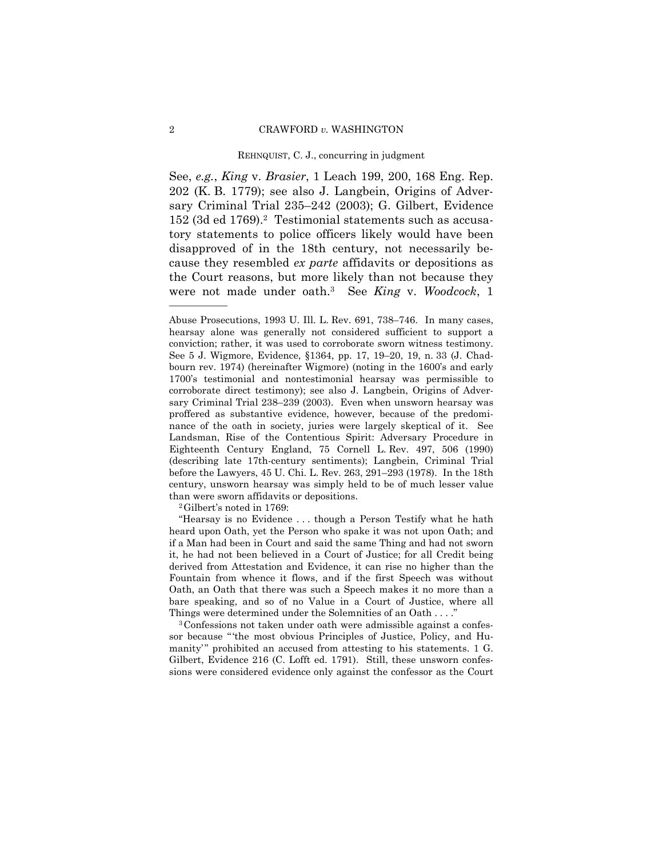See, *e.g.*, *King* v. *Brasier*, 1 Leach 199, 200, 168 Eng. Rep. 202 (K. B. 1779); see also J. Langbein, Origins of Adversary Criminal Trial 235-242 (2003); G. Gilbert, Evidence 152 (3d ed 1769).2 Testimonial statements such as accusatory statements to police officers likely would have been disapproved of in the 18th century, not necessarily because they resembled *ex parte* affidavits or depositions as the Court reasons, but more likely than not because they were not made under oath.3 See *King* v. *Woodcock*, 1

ìHearsay is no Evidence . . . though a Person Testify what he hath heard upon Oath, yet the Person who spake it was not upon Oath; and if a Man had been in Court and said the same Thing and had not sworn it, he had not been believed in a Court of Justice; for all Credit being derived from Attestation and Evidence, it can rise no higher than the Fountain from whence it flows, and if the first Speech was without Oath, an Oath that there was such a Speech makes it no more than a bare speaking, and so of no Value in a Court of Justice, where all Things were determined under the Solemnities of an Oath . . . ."

3Confessions not taken under oath were admissible against a confessor because "the most obvious Principles of Justice, Policy, and Humanity" prohibited an accused from attesting to his statements. 1 G. Gilbert, Evidence 216 (C. Lofft ed. 1791). Still, these unsworn confessions were considered evidence only against the confessor as the Court

<u>óóóóóóóóóóóóóó</u>

Abuse Prosecutions, 1993 U. Ill. L. Rev. 691, 738–746. In many cases, hearsay alone was generally not considered sufficient to support a conviction; rather, it was used to corroborate sworn witness testimony. See 5 J. Wigmore, Evidence, §1364, pp. 17, 19-20, 19, n. 33 (J. Chadbourn rev. 1974) (hereinafter Wigmore) (noting in the 1600's and early 1700ís testimonial and nontestimonial hearsay was permissible to corroborate direct testimony); see also J. Langbein, Origins of Adversary Criminal Trial 238–239 (2003). Even when unsworn hearsay was proffered as substantive evidence, however, because of the predominance of the oath in society, juries were largely skeptical of it. See Landsman, Rise of the Contentious Spirit: Adversary Procedure in Eighteenth Century England, 75 Cornell L. Rev. 497, 506 (1990) (describing late 17th-century sentiments); Langbein, Criminal Trial before the Lawyers, 45 U. Chi. L. Rev. 263, 291-293 (1978). In the 18th century, unsworn hearsay was simply held to be of much lesser value than were sworn affidavits or depositions.<br><sup>2</sup>Gilbert's noted in 1769: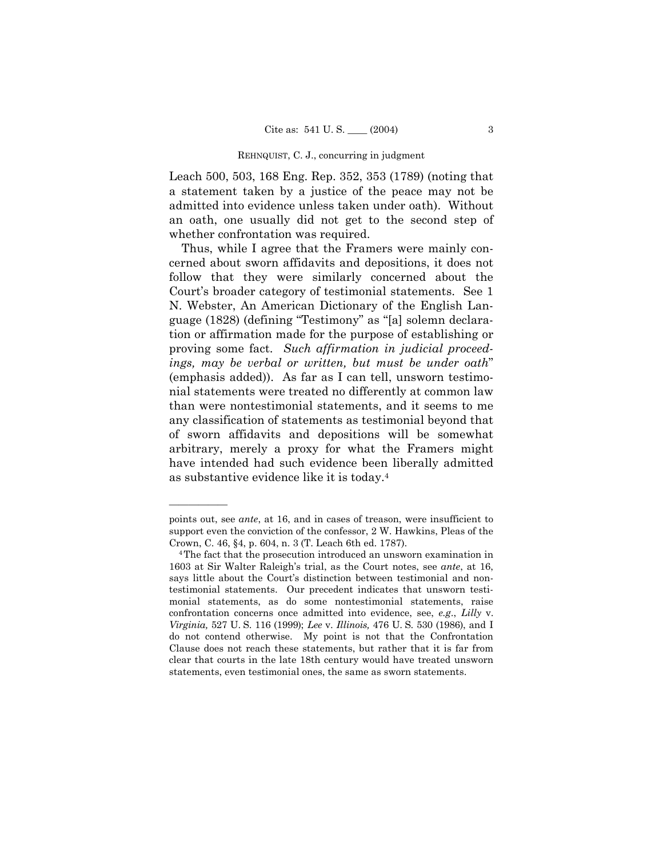Leach 500, 503, 168 Eng. Rep. 352, 353 (1789) (noting that a statement taken by a justice of the peace may not be admitted into evidence unless taken under oath). Without an oath, one usually did not get to the second step of whether confrontation was required.

Thus, while I agree that the Framers were mainly concerned about sworn affidavits and depositions, it does not follow that they were similarly concerned about the Court's broader category of testimonial statements. See 1 N. Webster, An American Dictionary of the English Language (1828) (defining "Testimony" as "[a] solemn declaration or affirmation made for the purpose of establishing or proving some fact. *Such affirmation in judicial proceed*ings, may be verbal or written, but must be under oath<sup>n</sup> (emphasis added)). As far as I can tell, unsworn testimonial statements were treated no differently at common law than were nontestimonial statements, and it seems to me any classification of statements as testimonial beyond that of sworn affidavits and depositions will be somewhat arbitrary, merely a proxy for what the Framers might have intended had such evidence been liberally admitted as substantive evidence like it is today.4

<u>óóóóóóóóóóóóóó</u>

points out, see *ante*, at 16, and in cases of treason, were insufficient to support even the conviction of the confessor, 2 W. Hawkins, Pleas of the Crown, C. 46, ß4, p. 604, n. 3 (T. Leach 6th ed. 1787).

<sup>4</sup>The fact that the prosecution introduced an unsworn examination in 1603 at Sir Walter Raleighís trial, as the Court notes, see *ante*, at 16, says little about the Court's distinction between testimonial and nontestimonial statements. Our precedent indicates that unsworn testimonial statements, as do some nontestimonial statements, raise confrontation concerns once admitted into evidence, see, *e.g*., *Lilly* v. *Virginia,* 527 U. S. 116 (1999); *Lee* v. *Illinois,* 476 U. S. 530 (1986), and I do not contend otherwise. My point is not that the Confrontation Clause does not reach these statements, but rather that it is far from clear that courts in the late 18th century would have treated unsworn statements, even testimonial ones, the same as sworn statements.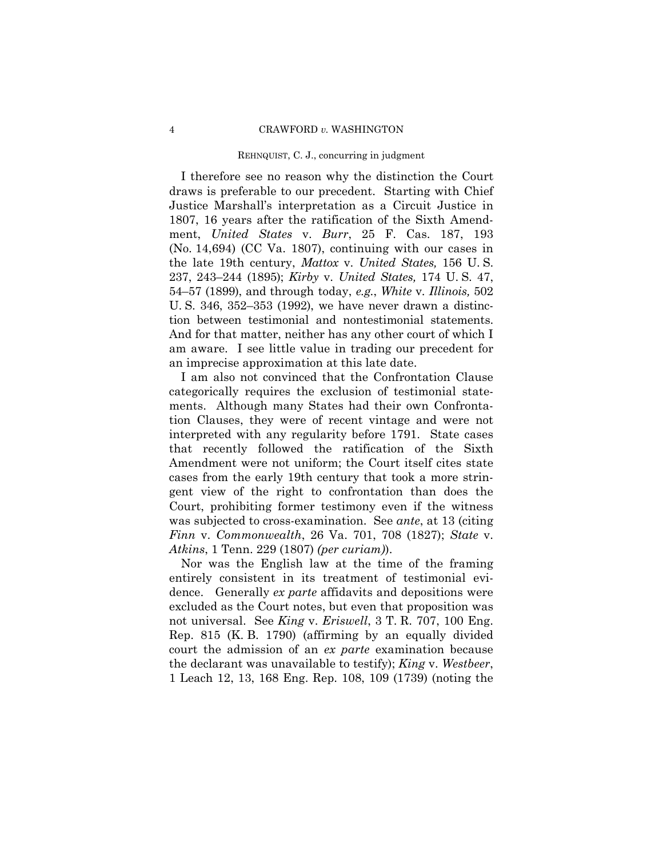I therefore see no reason why the distinction the Court draws is preferable to our precedent. Starting with Chief Justice Marshallís interpretation as a Circuit Justice in 1807, 16 years after the ratification of the Sixth Amendment, *United States* v. *Burr*, 25 F. Cas. 187, 193 (No. 14,694) (CC Va. 1807), continuing with our cases in the late 19th century, *Mattox* v. *United States,* 156 U. S. 237, 243–244 (1895); *Kirby* v. *United States*, 174 U.S. 47, 54–57 (1899), and through today, *e.g.*, *White* v. *Illinois*, 502 U. S. 346, 352–353 (1992), we have never drawn a distinction between testimonial and nontestimonial statements. And for that matter, neither has any other court of which I am aware. I see little value in trading our precedent for an imprecise approximation at this late date.

I am also not convinced that the Confrontation Clause categorically requires the exclusion of testimonial statements. Although many States had their own Confrontation Clauses, they were of recent vintage and were not interpreted with any regularity before 1791. State cases that recently followed the ratification of the Sixth Amendment were not uniform; the Court itself cites state cases from the early 19th century that took a more stringent view of the right to confrontation than does the Court, prohibiting former testimony even if the witness was subjected to cross-examination. See *ante*, at 13 (citing *Finn* v. *Commonwealth*, 26 Va. 701, 708 (1827); *State* v. *Atkins*, 1 Tenn. 229 (1807) *(per curiam)*).

Nor was the English law at the time of the framing entirely consistent in its treatment of testimonial evidence. Generally *ex parte* affidavits and depositions were excluded as the Court notes, but even that proposition was not universal. See *King* v. *Eriswell*, 3 T. R. 707, 100 Eng. Rep. 815 (K. B. 1790) (affirming by an equally divided court the admission of an *ex parte* examination because the declarant was unavailable to testify); *King* v. *Westbeer*, 1 Leach 12, 13, 168 Eng. Rep. 108, 109 (1739) (noting the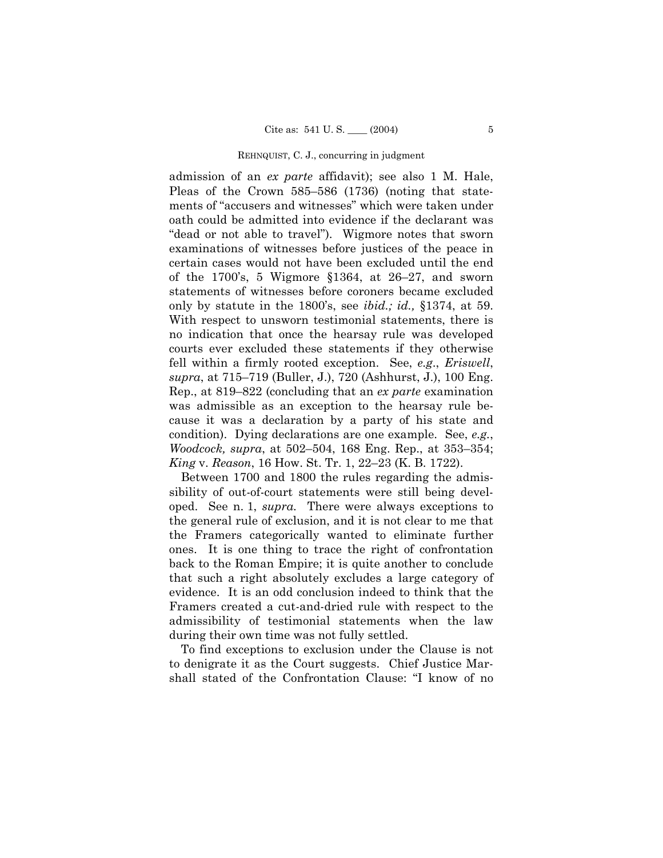admission of an *ex parte* affidavit); see also 1 M. Hale, Pleas of the Crown  $585-586$  (1736) (noting that statements of "accusers and witnesses" which were taken under oath could be admitted into evidence if the declarant was "dead or not able to travel"). Wigmore notes that sworn examinations of witnesses before justices of the peace in certain cases would not have been excluded until the end of the 1700's, 5 Wigmore  $$1364$ , at 26–27, and sworn statements of witnesses before coroners became excluded only by statute in the 1800ís, see *ibid.; id.,* ß1374, at 59. With respect to unsworn testimonial statements, there is no indication that once the hearsay rule was developed courts ever excluded these statements if they otherwise fell within a firmly rooted exception. See, *e.g*., *Eriswell*, *supra*, at 715–719 (Buller, J.), 720 (Ashhurst, J.), 100 Eng. Rep., at 819–822 (concluding that an *ex parte* examination was admissible as an exception to the hearsay rule because it was a declaration by a party of his state and condition). Dying declarations are one example. See, *e.g.*, *Woodcock, supra, at 502–504, 168 Eng. Rep., at 353–354; King* v. *Reason*, 16 How. St. Tr. 1, 22–23 (K. B. 1722).

Between 1700 and 1800 the rules regarding the admissibility of out-of-court statements were still being developed. See n. 1, *supra.* There were always exceptions to the general rule of exclusion, and it is not clear to me that the Framers categorically wanted to eliminate further ones. It is one thing to trace the right of confrontation back to the Roman Empire; it is quite another to conclude that such a right absolutely excludes a large category of evidence. It is an odd conclusion indeed to think that the Framers created a cut-and-dried rule with respect to the admissibility of testimonial statements when the law during their own time was not fully settled.

To find exceptions to exclusion under the Clause is not to denigrate it as the Court suggests. Chief Justice Marshall stated of the Confrontation Clause: "I know of no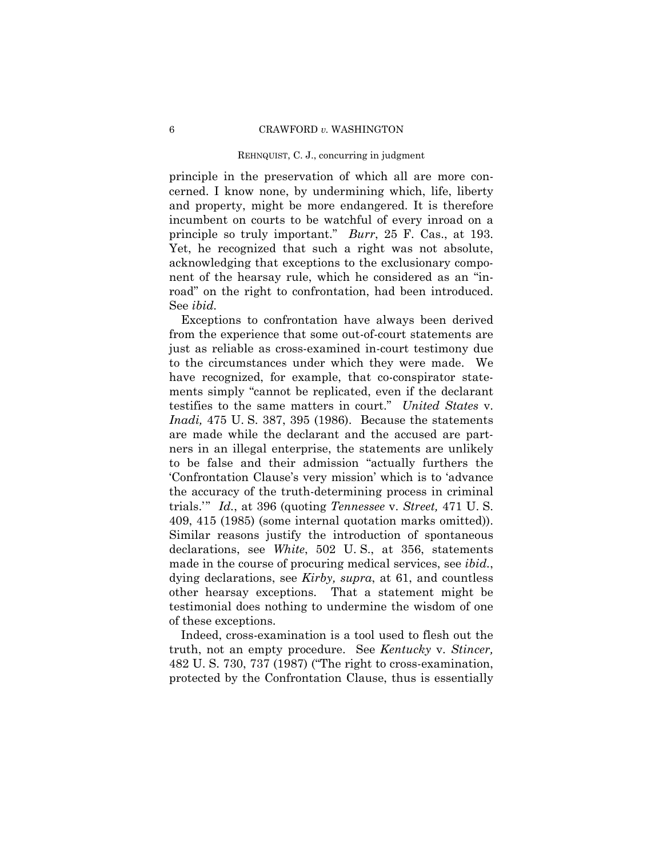principle in the preservation of which all are more concerned. I know none, by undermining which, life, liberty and property, might be more endangered. It is therefore incumbent on courts to be watchful of every inroad on a principle so truly important." *Burr*, 25 F. Cas., at 193. Yet, he recognized that such a right was not absolute, acknowledging that exceptions to the exclusionary component of the hearsay rule, which he considered as an "inroad" on the right to confrontation, had been introduced. See *ibid.*

Exceptions to confrontation have always been derived from the experience that some out-of-court statements are just as reliable as cross-examined in-court testimony due to the circumstances under which they were made. We have recognized, for example, that co-conspirator statements simply "cannot be replicated, even if the declarant testifies to the same matters in court.î *United States* v. *Inadi,* 475 U. S. 387, 395 (1986). Because the statements are made while the declarant and the accused are partners in an illegal enterprise, the statements are unlikely to be false and their admission "actually furthers the Confrontation Clause's very mission' which is to 'advance' the accuracy of the truth-determining process in criminal trials." *Id.*, at 396 (quoting *Tennessee* v. *Street*, 471 U.S. 409, 415 (1985) (some internal quotation marks omitted)). Similar reasons justify the introduction of spontaneous declarations, see *White*, 502 U. S., at 356, statements made in the course of procuring medical services, see *ibid.*, dying declarations, see *Kirby, supra*, at 61, and countless other hearsay exceptions. That a statement might be testimonial does nothing to undermine the wisdom of one of these exceptions.

Indeed, cross-examination is a tool used to flesh out the truth, not an empty procedure. See *Kentucky* v. *Stincer,*  $482$  U. S. 730, 737 (1987) ("The right to cross-examination, protected by the Confrontation Clause, thus is essentially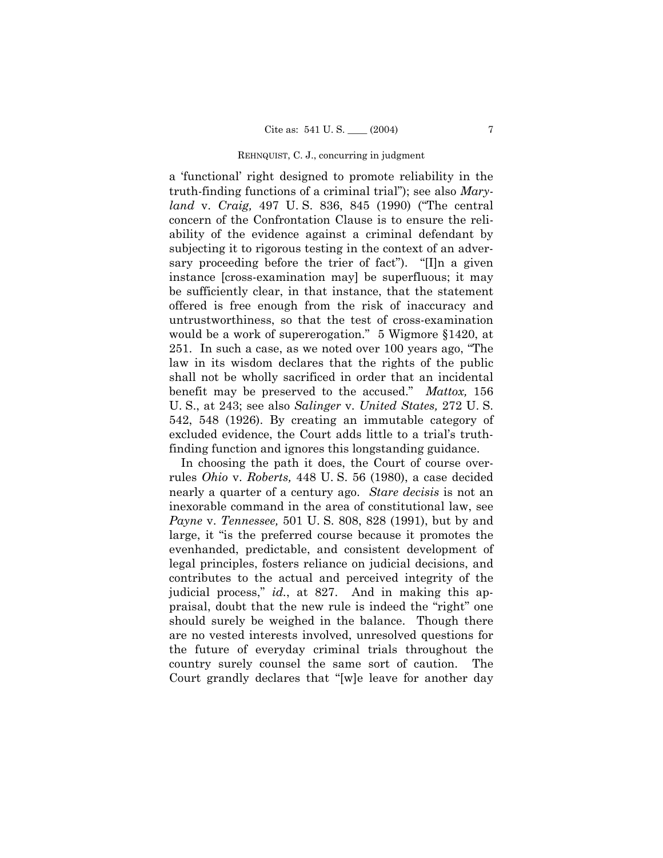a 'functional' right designed to promote reliability in the truth-finding functions of a criminal trialî); see also *Maryland* v. *Craig*, 497 U.S. 836, 845 (1990) ("The central concern of the Confrontation Clause is to ensure the reliability of the evidence against a criminal defendant by subjecting it to rigorous testing in the context of an adversary proceeding before the trier of fact".  $\lceil \cdot \rceil$ [I]n a given instance [cross-examination may] be superfluous; it may be sufficiently clear, in that instance, that the statement offered is free enough from the risk of inaccuracy and untrustworthiness, so that the test of cross-examination would be a work of supererogation." 5 Wigmore  $§1420$ , at 251. In such a case, as we noted over  $100$  years ago, "The law in its wisdom declares that the rights of the public shall not be wholly sacrificed in order that an incidental benefit may be preserved to the accused.î *Mattox,* 156 U. S., at 243; see also *Salinger* v. *United States,* 272 U. S. 542, 548 (1926). By creating an immutable category of excluded evidence, the Court adds little to a trial's truthfinding function and ignores this longstanding guidance.

In choosing the path it does, the Court of course overrules *Ohio* v. *Roberts,* 448 U. S. 56 (1980), a case decided nearly a quarter of a century ago. *Stare decisis* is not an inexorable command in the area of constitutional law, see *Payne* v. *Tennessee,* 501 U. S. 808, 828 (1991), but by and large, it "is the preferred course because it promotes the evenhanded, predictable, and consistent development of legal principles, fosters reliance on judicial decisions, and contributes to the actual and perceived integrity of the judicial process," *id.*, at 827. And in making this appraisal, doubt that the new rule is indeed the "right" one should surely be weighed in the balance. Though there are no vested interests involved, unresolved questions for the future of everyday criminal trials throughout the country surely counsel the same sort of caution. The Court grandly declares that "[w]e leave for another day